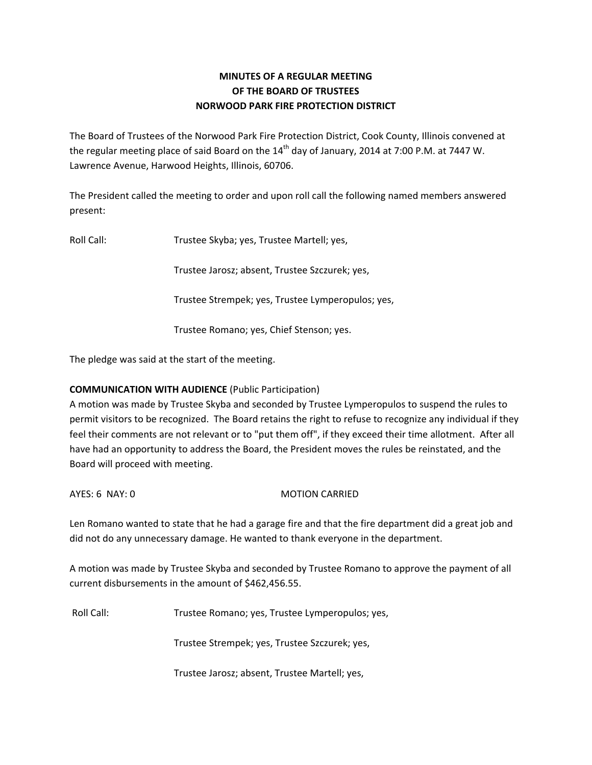# **MINUTES OF A REGULAR MEETING OF THE BOARD OF TRUSTEES NORWOOD PARK FIRE PROTECTION DISTRICT**

The Board of Trustees of the Norwood Park Fire Protection District, Cook County, Illinois convened at the regular meeting place of said Board on the  $14<sup>th</sup>$  day of January, 2014 at 7:00 P.M. at 7447 W. Lawrence Avenue, Harwood Heights, Illinois, 60706.

The President called the meeting to order and upon roll call the following named members answered present:

Roll Call: Trustee Skyba; yes, Trustee Martell; yes,

Trustee Jarosz; absent, Trustee Szczurek; yes,

Trustee Strempek; yes, Trustee Lymperopulos; yes,

Trustee Romano; yes, Chief Stenson; yes.

The pledge was said at the start of the meeting.

# **COMMUNICATION WITH AUDIENCE** (Public Participation)

A motion was made by Trustee Skyba and seconded by Trustee Lymperopulos to suspend the rules to permit visitors to be recognized. The Board retains the right to refuse to recognize any individual if they feel their comments are not relevant or to "put them off", if they exceed their time allotment. After all have had an opportunity to address the Board, the President moves the rules be reinstated, and the Board will proceed with meeting.

## AYES: 6 NAY: 0 MOTION CARRIED

Len Romano wanted to state that he had a garage fire and that the fire department did a great job and did not do any unnecessary damage. He wanted to thank everyone in the department.

A motion was made by Trustee Skyba and seconded by Trustee Romano to approve the payment of all current disbursements in the amount of \$462,456.55.

Roll Call: Trustee Romano; yes, Trustee Lymperopulos; yes,

Trustee Strempek; yes, Trustee Szczurek; yes,

Trustee Jarosz; absent, Trustee Martell; yes,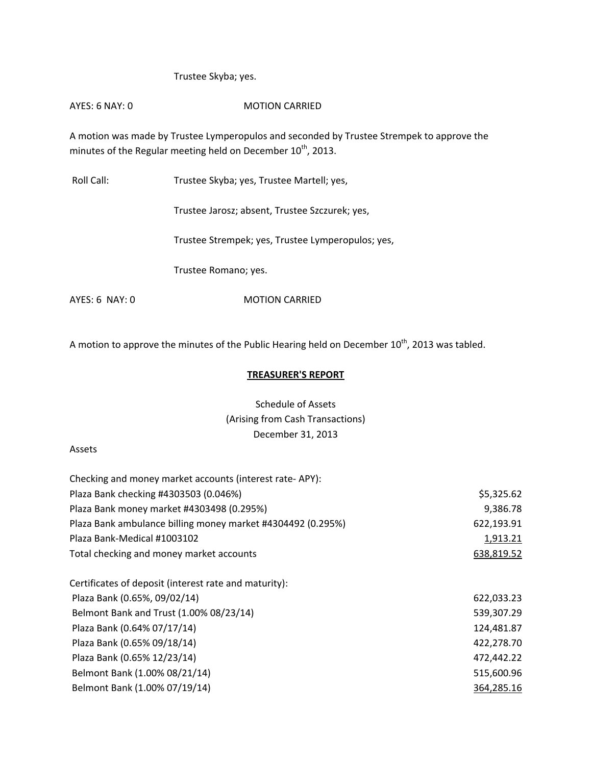### Trustee Skyba; yes.

# AYES: 6 NAY: 0 MOTION CARRIED

A motion was made by Trustee Lymperopulos and seconded by Trustee Strempek to approve the minutes of the Regular meeting held on December  $10^{th}$ , 2013.

Roll Call: Trustee Skyba; yes, Trustee Martell; yes,

Trustee Jarosz; absent, Trustee Szczurek; yes,

Trustee Strempek; yes, Trustee Lymperopulos; yes,

Trustee Romano; yes.

AYES: 6 NAY: 0 MOTION CARRIED

A motion to approve the minutes of the Public Hearing held on December  $10^{\text{th}}$ , 2013 was tabled.

### **TREASURER'S REPORT**

# Schedule of Assets (Arising from Cash Transactions) December 31, 2013

#### Assets

| Checking and money market accounts (interest rate-APY):     |            |  |
|-------------------------------------------------------------|------------|--|
| Plaza Bank checking #4303503 (0.046%)                       | \$5,325.62 |  |
| Plaza Bank money market #4303498 (0.295%)                   | 9,386.78   |  |
| Plaza Bank ambulance billing money market #4304492 (0.295%) | 622,193.91 |  |
| Plaza Bank-Medical #1003102                                 | 1,913.21   |  |
| Total checking and money market accounts                    | 638,819.52 |  |
| Certificates of deposit (interest rate and maturity):       |            |  |
| Plaza Bank (0.65%, 09/02/14)                                | 622,033.23 |  |
| Belmont Bank and Trust (1.00% 08/23/14)                     | 539,307.29 |  |
| Plaza Bank (0.64% 07/17/14)                                 | 124,481.87 |  |
| Plaza Bank (0.65% 09/18/14)                                 | 422,278.70 |  |
| Plaza Bank (0.65% 12/23/14)                                 | 472,442.22 |  |
| Belmont Bank (1.00% 08/21/14)                               | 515,600.96 |  |
| Belmont Bank (1.00% 07/19/14)                               | 364,285.16 |  |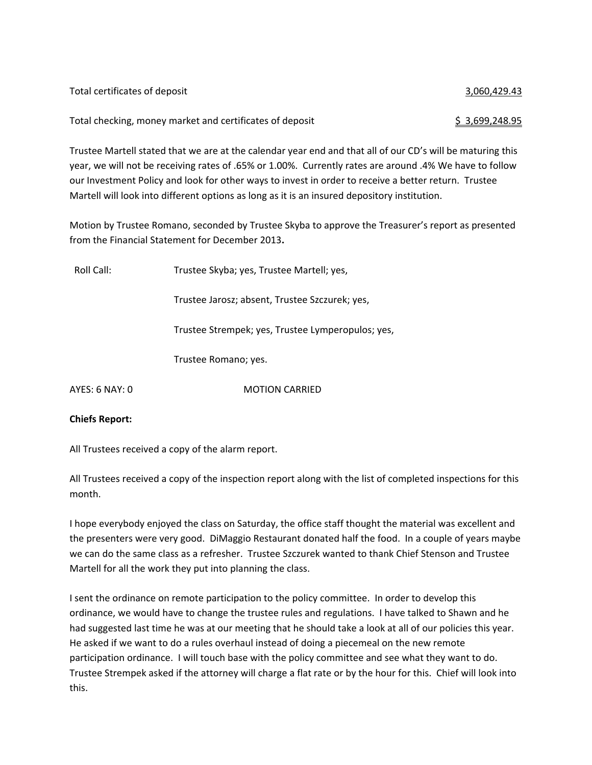| Total certificates of deposit                            | 3,060,429.43   |
|----------------------------------------------------------|----------------|
| Total checking, money market and certificates of deposit | \$3,699,248.95 |

Trustee Martell stated that we are at the calendar year end and that all of our CD's will be maturing this year, we will not be receiving rates of .65% or 1.00%. Currently rates are around .4% We have to follow our Investment Policy and look for other ways to invest in order to receive a better return. Trustee Martell will look into different options as long as it is an insured depository institution.

Motion by Trustee Romano, seconded by Trustee Skyba to approve the Treasurer's report as presented from the Financial Statement for December 2013**.**

| Roll Call:     | Trustee Skyba; yes, Trustee Martell; yes,         |  |
|----------------|---------------------------------------------------|--|
|                | Trustee Jarosz; absent, Trustee Szczurek; yes,    |  |
|                | Trustee Strempek; yes, Trustee Lymperopulos; yes, |  |
|                | Trustee Romano; yes.                              |  |
| AYES: 6 NAY: 0 | <b>MOTION CARRIED</b>                             |  |
|                |                                                   |  |

## **Chiefs Report:**

All Trustees received a copy of the alarm report.

All Trustees received a copy of the inspection report along with the list of completed inspections for this month.

I hope everybody enjoyed the class on Saturday, the office staff thought the material was excellent and the presenters were very good. DiMaggio Restaurant donated half the food. In a couple of years maybe we can do the same class as a refresher. Trustee Szczurek wanted to thank Chief Stenson and Trustee Martell for all the work they put into planning the class.

I sent the ordinance on remote participation to the policy committee. In order to develop this ordinance, we would have to change the trustee rules and regulations. I have talked to Shawn and he had suggested last time he was at our meeting that he should take a look at all of our policies this year. He asked if we want to do a rules overhaul instead of doing a piecemeal on the new remote participation ordinance. I will touch base with the policy committee and see what they want to do. Trustee Strempek asked if the attorney will charge a flat rate or by the hour for this. Chief will look into this.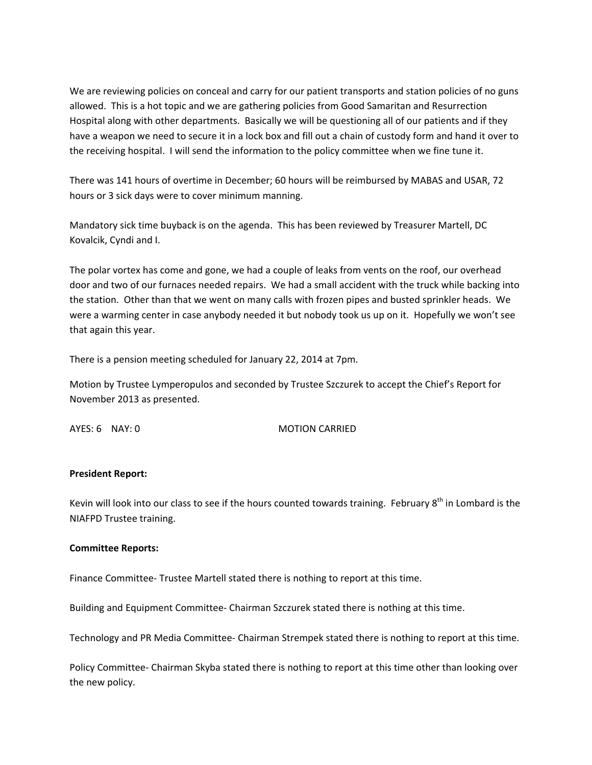We are reviewing policies on conceal and carry for our patient transports and station policies of no guns allowed. This is a hot topic and we are gathering policies from Good Samaritan and Resurrection Hospital along with other departments. Basically we will be questioning all of our patients and if they have a weapon we need to secure it in a lock box and fill out a chain of custody form and hand it over to the receiving hospital. I will send the information to the policy committee when we fine tune it.

There was 141 hours of overtime in December; 60 hours will be reimbursed by MABAS and USAR, 72 hours or 3 sick days were to cover minimum manning.

Mandatory sick time buyback is on the agenda. This has been reviewed by Treasurer Martell, DC Kovalcik, Cyndi and I.

The polar vortex has come and gone, we had a couple of leaks from vents on the roof, our overhead door and two of our furnaces needed repairs. We had a small accident with the truck while backing into the station. Other than that we went on many calls with frozen pipes and busted sprinkler heads. We were a warming center in case anybody needed it but nobody took us up on it. Hopefully we won't see that again this year.

There is a pension meeting scheduled for January 22, 2014 at 7pm.

Motion by Trustee Lymperopulos and seconded by Trustee Szczurek to accept the Chief's Report for November 2013 as presented.

AYES: 6 NAY: 0 MOTION CARRIED

#### **President Report:**

Kevin will look into our class to see if the hours counted towards training. February  $8^{th}$  in Lombard is the NIAFPD Trustee training.

#### **Committee Reports:**

Finance Committee‐ Trustee Martell stated there is nothing to report at this time.

Building and Equipment Committee‐ Chairman Szczurek stated there is nothing at this time.

Technology and PR Media Committee‐ Chairman Strempek stated there is nothing to report at this time.

Policy Committee‐ Chairman Skyba stated there is nothing to report at this time other than looking over the new policy.